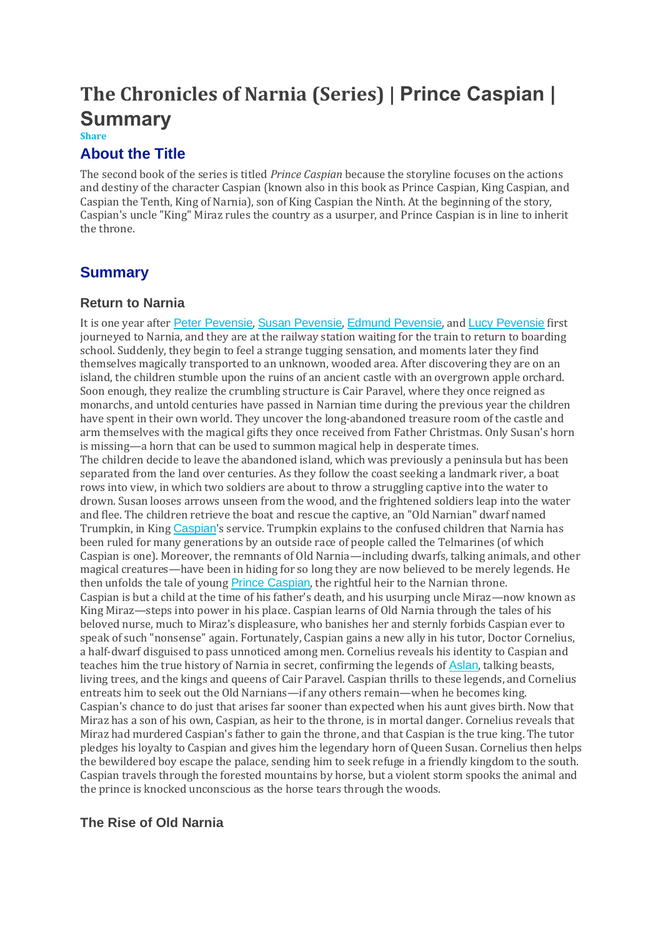# **The Chronicles of Narnia (Series) | Prince Caspian | Summary**

#### **Share**

# **About the Title**

The second book of the series is titled *Prince Caspian* because the storyline focuses on the actions and destiny of the character Caspian (known also in this book as Prince Caspian, King Caspian, and Caspian the Tenth, King of Narnia), son of King Caspian the Ninth. At the beginning of the story, Caspian's uncle "King" Miraz rules the country as a usurper, and Prince Caspian is in line to inherit the throne.

# **Summary**

### **Return to Narnia**

It is one year after Peter [Pevensie](https://www.coursehero.com/lit/The-Chronicles-of-Narnia-Series/character-analysis/#Peter_Pevensie), Susan [Pevensie](https://www.coursehero.com/lit/The-Chronicles-of-Narnia-Series/character-analysis/#Susan_Pevensie), Edmund [Pevensie](https://www.coursehero.com/lit/The-Chronicles-of-Narnia-Series/character-analysis/#Edmund_Pevensie), and Lucy [Pevensie](https://www.coursehero.com/lit/The-Chronicles-of-Narnia-Series/character-analysis/#Lucy_Pevensie) first journeyed to Narnia, and they are at the railway station waiting for the train to return to boarding school. Suddenly, they begin to feel a strange tugging sensation, and moments later they find themselves magically transported to an unknown, wooded area. After discovering they are on an island, the children stumble upon the ruins of an ancient castle with an overgrown apple orchard. Soon enough, they realize the crumbling structure is Cair Paravel, where they once reigned as monarchs, and untold centuries have passed in Narnian time during the previous year the children have spent in their own world. They uncover the long-abandoned treasure room of the castle and arm themselves with the magical gifts they once received from Father Christmas. Only Susan's horn is missing—a horn that can be used to summon magical help in desperate times. The children decide to leave the abandoned island, which was previously a peninsula but has been separated from the land over centuries. As they follow the coast seeking a landmark river, a boat rows into view, in which two soldiers are about to throw a struggling captive into the water to drown. Susan looses arrows unseen from the wood, and the frightened soldiers leap into the water and flee. The children retrieve the boat and rescue the captive, an "Old Narnian" dwarf named Trumpkin, in King [Caspian](https://www.coursehero.com/lit/The-Chronicles-of-Narnia-Series/character-analysis/#Caspian)'s service. Trumpkin explains to the confused children that Narnia has been ruled for many generations by an outside race of people called the Telmarines (of which Caspian is one). Moreover, the remnants of Old Narnia—including dwarfs, talking animals, and other magical creatures—have been in hiding for so long they are now believed to be merely legends. He then unfolds the tale of young Prince [Caspian](https://www.coursehero.com/lit/The-Chronicles-of-Narnia-Series/prince-caspian-summary/), the rightful heir to the Narnian throne. Caspian is but a child at the time of his father's death, and his usurping uncle Miraz—now known as King Miraz—steps into power in his place. Caspian learns of Old Narnia through the tales of his beloved nurse, much to Miraz's displeasure, who banishes her and sternly forbids Caspian ever to speak of such "nonsense" again. Fortunately, Caspian gains a new ally in his tutor, Doctor Cornelius, a half-dwarf disguised to pass unnoticed among men. Cornelius reveals his identity to Caspian and teaches him the true history of Narnia in secret, confirming the legends of [Aslan](https://www.coursehero.com/lit/The-Chronicles-of-Narnia-Series/character-analysis/#Aslan), talking beasts, living trees, and the kings and queens of Cair Paravel. Caspian thrills to these legends, and Cornelius entreats him to seek out the Old Narnians—if any others remain—when he becomes king. Caspian's chance to do just that arises far sooner than expected when his aunt gives birth. Now that Miraz has a son of his own, Caspian, as heir to the throne, is in mortal danger. Cornelius reveals that Miraz had murdered Caspian's father to gain the throne, and that Caspian is the true king. The tutor pledges his loyalty to Caspian and gives him the legendary horn of Queen Susan. Cornelius then helps the bewildered boy escape the palace, sending him to seek refuge in a friendly kingdom to the south. Caspian travels through the forested mountains by horse, but a violent storm spooks the animal and the prince is knocked unconscious as the horse tears through the woods.

# **The Rise of Old Narnia**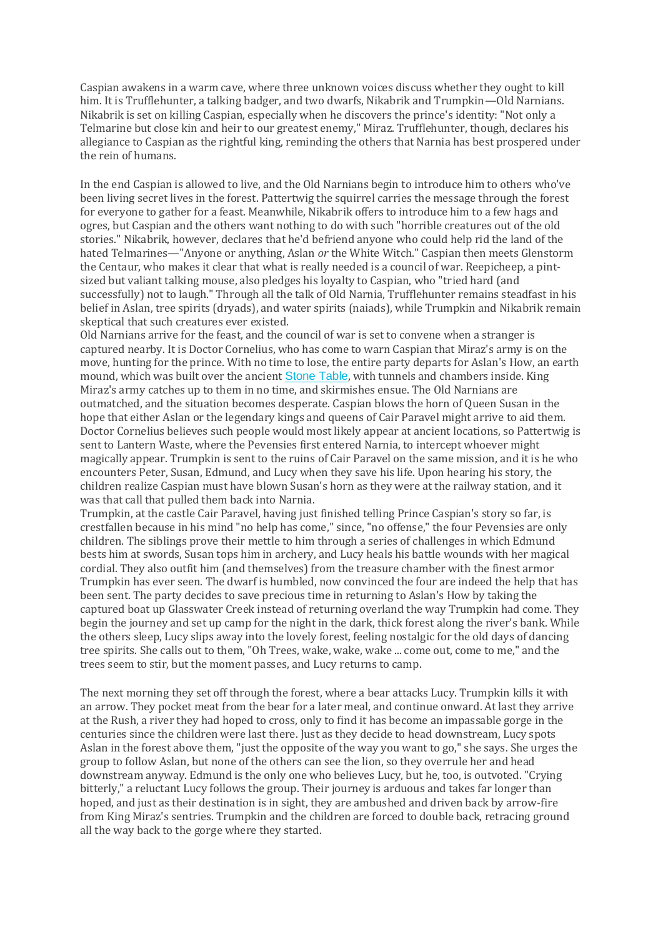Caspian awakens in a warm cave, where three unknown voices discuss whether they ought to kill him. It is Trufflehunter, a talking badger, and two dwarfs, Nikabrik and Trumpkin—Old Narnians. Nikabrik is set on killing Caspian, especially when he discovers the prince's identity: "Not only a Telmarine but close kin and heir to our greatest enemy," Miraz. Trufflehunter, though, declares his allegiance to Caspian as the rightful king, reminding the others that Narnia has best prospered under the rein of humans.

In the end Caspian is allowed to live, and the Old Narnians begin to introduce him to others who've been living secret lives in the forest. Pattertwig the squirrel carries the message through the forest for everyone to gather for a feast. Meanwhile, Nikabrik offers to introduce him to a few hags and ogres, but Caspian and the others want nothing to do with such "horrible creatures out of the old stories." Nikabrik, however, declares that he'd befriend anyone who could help rid the land of the hated Telmarines—"Anyone or anything, Aslan *or* the White Witch." Caspian then meets Glenstorm the Centaur, who makes it clear that what is really needed is a council of war. Reepicheep, a pintsized but valiant talking mouse, also pledges his loyalty to Caspian, who "tried hard (and successfully) not to laugh." Through all the talk of Old Narnia, Trufflehunter remains steadfast in his belief in Aslan, tree spirits (dryads), and water spirits (naiads), while Trumpkin and Nikabrik remain skeptical that such creatures ever existed.

Old Narnians arrive for the feast, and the council of war is set to convene when a stranger is captured nearby. It is Doctor Cornelius, who has come to warn Caspian that Miraz's army is on the move, hunting for the prince. With no time to lose, the entire party departs for Aslan's How, an earth mound, which was built over the ancient [Stone](https://www.coursehero.com/lit/The-Chronicles-of-Narnia-Series/symbols/#Stone_Table) Table, with tunnels and chambers inside. King Miraz's army catches up to them in no time, and skirmishes ensue. The Old Narnians are outmatched, and the situation becomes desperate. Caspian blows the horn of Queen Susan in the hope that either Aslan or the legendary kings and queens of Cair Paravel might arrive to aid them. Doctor Cornelius believes such people would most likely appear at ancient locations, so Pattertwig is sent to Lantern Waste, where the Pevensies first entered Narnia, to intercept whoever might magically appear. Trumpkin is sent to the ruins of Cair Paravel on the same mission, and it is he who encounters Peter, Susan, Edmund, and Lucy when they save his life. Upon hearing his story, the children realize Caspian must have blown Susan's horn as they were at the railway station, and it was that call that pulled them back into Narnia.

Trumpkin, at the castle Cair Paravel, having just finished telling Prince Caspian's story so far, is crestfallen because in his mind "no help has come," since, "no offense," the four Pevensies are only children. The siblings prove their mettle to him through a series of challenges in which Edmund bests him at swords, Susan tops him in archery, and Lucy heals his battle wounds with her magical cordial. They also outfit him (and themselves) from the treasure chamber with the finest armor Trumpkin has ever seen. The dwarf is humbled, now convinced the four are indeed the help that has been sent. The party decides to save precious time in returning to Aslan's How by taking the captured boat up Glasswater Creek instead of returning overland the way Trumpkin had come. They begin the journey and set up camp for the night in the dark, thick forest along the river's bank. While the others sleep, Lucy slips away into the lovely forest, feeling nostalgic for the old days of dancing tree spirits. She calls out to them, "Oh Trees, wake, wake, wake ... come out, come to me," and the trees seem to stir, but the moment passes, and Lucy returns to camp.

The next morning they set off through the forest, where a bear attacks Lucy. Trumpkin kills it with an arrow. They pocket meat from the bear for a later meal, and continue onward. At last they arrive at the Rush, a river they had hoped to cross, only to find it has become an impassable gorge in the centuries since the children were last there. Just as they decide to head downstream, Lucy spots Aslan in the forest above them, "just the opposite of the way you want to go," she says. She urges the group to follow Aslan, but none of the others can see the lion, so they overrule her and head downstream anyway. Edmund is the only one who believes Lucy, but he, too, is outvoted. "Crying bitterly," a reluctant Lucy follows the group. Their journey is arduous and takes far longer than hoped, and just as their destination is in sight, they are ambushed and driven back by arrow-fire from King Miraz's sentries. Trumpkin and the children are forced to double back, retracing ground all the way back to the gorge where they started.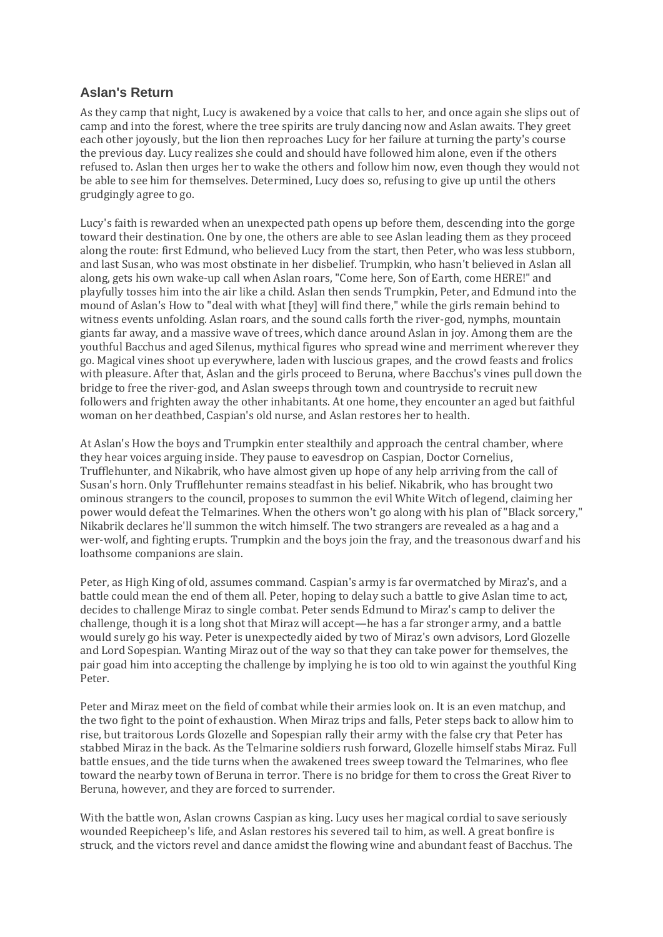## **Aslan's Return**

As they camp that night, Lucy is awakened by a voice that calls to her, and once again she slips out of camp and into the forest, where the tree spirits are truly dancing now and Aslan awaits. They greet each other joyously, but the lion then reproaches Lucy for her failure at turning the party's course the previous day. Lucy realizes she could and should have followed him alone, even if the others refused to. Aslan then urges her to wake the others and follow him now, even though they would not be able to see him for themselves. Determined, Lucy does so, refusing to give up until the others grudgingly agree to go.

Lucy's faith is rewarded when an unexpected path opens up before them, descending into the gorge toward their destination. One by one, the others are able to see Aslan leading them as they proceed along the route: first Edmund, who believed Lucy from the start, then Peter, who was less stubborn, and last Susan, who was most obstinate in her disbelief. Trumpkin, who hasn't believed in Aslan all along, gets his own wake-up call when Aslan roars, "Come here, Son of Earth, come HERE!" and playfully tosses him into the air like a child. Aslan then sends Trumpkin, Peter, and Edmund into the mound of Aslan's How to "deal with what [they] will find there," while the girls remain behind to witness events unfolding. Aslan roars, and the sound calls forth the river-god, nymphs, mountain giants far away, and a massive wave of trees, which dance around Aslan in joy. Among them are the youthful Bacchus and aged Silenus, mythical figures who spread wine and merriment wherever they go. Magical vines shoot up everywhere, laden with luscious grapes, and the crowd feasts and frolics with pleasure. After that, Aslan and the girls proceed to Beruna, where Bacchus's vines pull down the bridge to free the river-god, and Aslan sweeps through town and countryside to recruit new followers and frighten away the other inhabitants. At one home, they encounter an aged but faithful woman on her deathbed, Caspian's old nurse, and Aslan restores her to health.

At Aslan's How the boys and Trumpkin enter stealthily and approach the central chamber, where they hear voices arguing inside. They pause to eavesdrop on Caspian, Doctor Cornelius, Trufflehunter, and Nikabrik, who have almost given up hope of any help arriving from the call of Susan's horn. Only Trufflehunter remains steadfast in his belief. Nikabrik, who has brought two ominous strangers to the council, proposes to summon the evil White Witch of legend, claiming her power would defeat the Telmarines. When the others won't go along with his plan of "Black sorcery," Nikabrik declares he'll summon the witch himself. The two strangers are revealed as a hag and a wer-wolf, and fighting erupts. Trumpkin and the boys join the fray, and the treasonous dwarf and his loathsome companions are slain.

Peter, as High King of old, assumes command. Caspian's army is far overmatched by Miraz's, and a battle could mean the end of them all. Peter, hoping to delay such a battle to give Aslan time to act, decides to challenge Miraz to single combat. Peter sends Edmund to Miraz's camp to deliver the challenge, though it is a long shot that Miraz will accept—he has a far stronger army, and a battle would surely go his way. Peter is unexpectedly aided by two of Miraz's own advisors, Lord Glozelle and Lord Sopespian. Wanting Miraz out of the way so that they can take power for themselves, the pair goad him into accepting the challenge by implying he is too old to win against the youthful King Peter.

Peter and Miraz meet on the field of combat while their armies look on. It is an even matchup, and the two fight to the point of exhaustion. When Miraz trips and falls, Peter steps back to allow him to rise, but traitorous Lords Glozelle and Sopespian rally their army with the false cry that Peter has stabbed Miraz in the back. As the Telmarine soldiers rush forward, Glozelle himself stabs Miraz. Full battle ensues, and the tide turns when the awakened trees sweep toward the Telmarines, who flee toward the nearby town of Beruna in terror. There is no bridge for them to cross the Great River to Beruna, however, and they are forced to surrender.

With the battle won, Aslan crowns Caspian as king. Lucy uses her magical cordial to save seriously wounded Reepicheep's life, and Aslan restores his severed tail to him, as well. A great bonfire is struck, and the victors revel and dance amidst the flowing wine and abundant feast of Bacchus. The